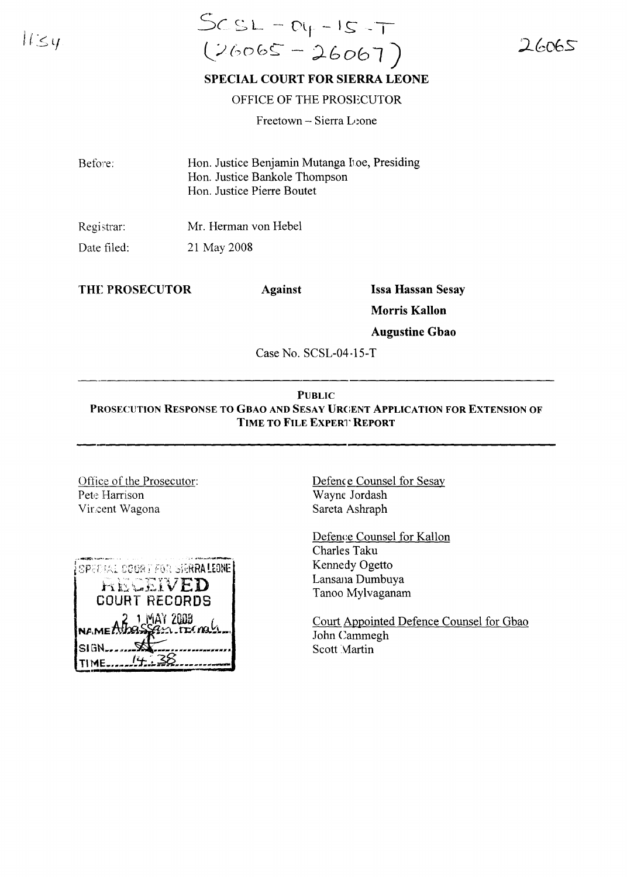$1154$ 

# $SCSL - D_Y - IS - T$  $(26065 - 26067)$

 $26065$ 

## SPECIAL COURT FOR SIERRA LEONE

### OFFICE OF THE PROSECUTOR

Freetown - Sierra Leone

| Before: | Hon. Justice Benjamin Mutanga Itoe, Presiding |
|---------|-----------------------------------------------|
|         | Hon. Justice Bankole Thompson                 |
|         | Hon. Justice Pierre Boutet                    |

Mr. Herman von Hebel Registrar:

Date filed: 21 May 2008

THE PROSECUTOR

**Against** 

**Issa Hassan Sesay** 

**Morris Kallon** 

**Augustine Gbao** 

Case No. SCSL-04-15-T

## **PUBLIC** PROSECUTION RESPONSE TO GBAO AND SESAY URGENT APPLICATION FOR EXTENSION OF TIME TO FILE EXPERT REPORT

Office of the Prosecutor: Pete Harrison Vir.cent Wagona

| $\{$ special court for sigral line $\}$ |
|-----------------------------------------|
| <b>HECEIVED</b>                         |
| <b>COURT RECORDS</b>                    |
| REMEATORSSAN 2008                       |
|                                         |
| Isign                                   |
| TI'ME                                   |

Defence Counsel for Sesay Wayne Jordash Sareta Ashraph

Defence Counsel for Kallon Charles Taku Kennedy Ogetto Lansana Dumbuya Tanoo Mylvaganam

Court Appointed Defence Counsel for Gbao John Cammegh Scott Martin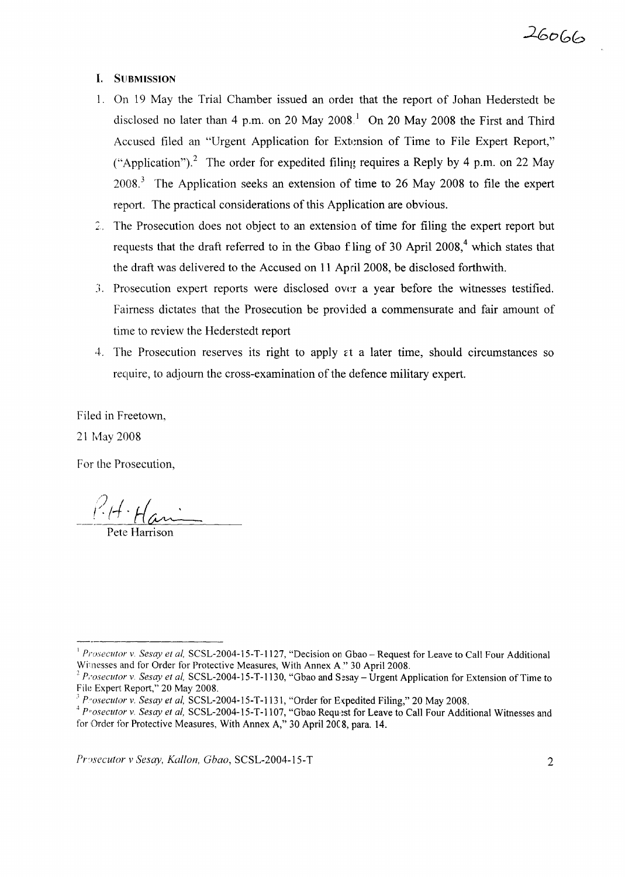#### I. SUBMISSION

- 1. On 19 May the Trial Chamber issued an order that the report of Johan Hederstedt be disclosed no later than 4 p.m. on 20 May 2008<sup>1</sup> On 20 May 2008 the First and Third Accused filed an "Urgent Application for Extension of Time to File Expert Report," ("Application").<sup>2</sup> The order for expedited filing requires a Reply by 4 p.m. on 22 May 2008. <sup>3</sup> The Application seeks an extension of time to 26 May 2008 to file the expert report. The practical considerations of this Application are obvious.
- 2. The Prosecution does not object to an extension of time for filing the expert report but requests that the draft referred to in the Gbao f ling of 30 April 2008,<sup>4</sup> which states that the draft was delivered to the Accused on 11 April 2008, be disclosed forthwith.
- :;. Prosecution expert reports were disclosed OVl:r a year before the witnesses testified. Fairness dictates that the Prosecution be provided a commensurate and fair amount of time to review the Hederstedt report
- 4. The Prosecution reserves its right to apply  $\epsilon t$  a later time, should circumstances so require, to adjourn the cross-examination of the defence military expert.

Filed in Freetown,

21 May 2008

For the Prosecution,

/)  $I\cdot$ Han

Pete Harrison

<sup>&</sup>lt;sup>1</sup> *Prosecutor* v. *Sesay et al,* SCSL-2004-15-T-1127, "Decision on Gbao – Request for Leave to Call Four Additional Witnesses and for Order for Protective Measures, With Annex A" 30 April 2008.

*<sup>2</sup> Prosecutor* v. *Sesay et aI,* SCSL-2004-15-T-1130, "Gbao and Sesay - Urgent Application for Extension of Time to File Expert Report," 20 May 2008.

<sup>&</sup>lt;sup>3</sup> Prosecutor v. Sesay et al, SCSL-2004-15-T-1131, "Order for Expedited Filing," 20 May 2008.

<sup>&</sup>lt;sup>4</sup> *Prosecutor* v. *Sesay et al,* SCSL-2004-15-T-1107, "Gbao Request for Leave to Call Four Additional Witnesses and for Order for Protective Measures, With Annex A," 30 April 20C8, para. 14.